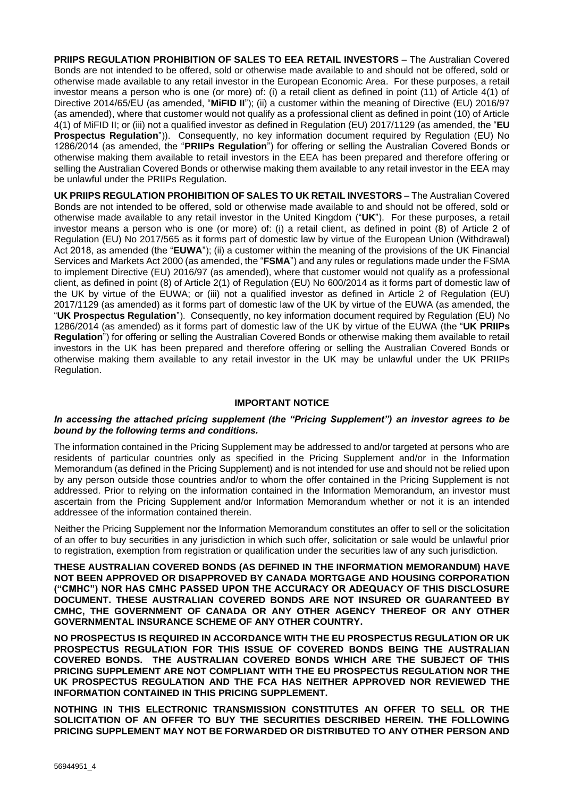**PRIIPS REGULATION PROHIBITION OF SALES TO EEA RETAIL INVESTORS** – The Australian Covered Bonds are not intended to be offered, sold or otherwise made available to and should not be offered, sold or otherwise made available to any retail investor in the European Economic Area. For these purposes, a retail investor means a person who is one (or more) of: (i) a retail client as defined in point (11) of Article 4(1) of Directive 2014/65/EU (as amended, "**MiFID II**"); (ii) a customer within the meaning of Directive (EU) 2016/97 (as amended), where that customer would not qualify as a professional client as defined in point (10) of Article 4(1) of MiFID II; or (iii) not a qualified investor as defined in Regulation (EU) 2017/1129 (as amended, the "**EU Prospectus Regulation**")). Consequently, no key information document required by Regulation (EU) No 1286/2014 (as amended, the "**PRIIPs Regulation**") for offering or selling the Australian Covered Bonds or otherwise making them available to retail investors in the EEA has been prepared and therefore offering or selling the Australian Covered Bonds or otherwise making them available to any retail investor in the EEA may be unlawful under the PRIIPs Regulation.

**UK PRIIPS REGULATION PROHIBITION OF SALES TO UK RETAIL INVESTORS** – The Australian Covered Bonds are not intended to be offered, sold or otherwise made available to and should not be offered, sold or otherwise made available to any retail investor in the United Kingdom ("**UK**"). For these purposes, a retail investor means a person who is one (or more) of: (i) a retail client, as defined in point (8) of Article 2 of Regulation (EU) No 2017/565 as it forms part of domestic law by virtue of the European Union (Withdrawal) Act 2018, as amended (the "**EUWA**"); (ii) a customer within the meaning of the provisions of the UK Financial Services and Markets Act 2000 (as amended, the "**FSMA**") and any rules or regulations made under the FSMA to implement Directive (EU) 2016/97 (as amended), where that customer would not qualify as a professional client, as defined in point (8) of Article 2(1) of Regulation (EU) No 600/2014 as it forms part of domestic law of the UK by virtue of the EUWA; or (iii) not a qualified investor as defined in Article 2 of Regulation (EU) 2017/1129 (as amended) as it forms part of domestic law of the UK by virtue of the EUWA (as amended, the "**UK Prospectus Regulation**"). Consequently, no key information document required by Regulation (EU) No 1286/2014 (as amended) as it forms part of domestic law of the UK by virtue of the EUWA (the "**UK PRIIPs Regulation**") for offering or selling the Australian Covered Bonds or otherwise making them available to retail investors in the UK has been prepared and therefore offering or selling the Australian Covered Bonds or otherwise making them available to any retail investor in the UK may be unlawful under the UK PRIIPs Regulation.

#### **IMPORTANT NOTICE**

#### *In accessing the attached pricing supplement (the "Pricing Supplement") an investor agrees to be bound by the following terms and conditions.*

The information contained in the Pricing Supplement may be addressed to and/or targeted at persons who are residents of particular countries only as specified in the Pricing Supplement and/or in the Information Memorandum (as defined in the Pricing Supplement) and is not intended for use and should not be relied upon by any person outside those countries and/or to whom the offer contained in the Pricing Supplement is not addressed. Prior to relying on the information contained in the Information Memorandum, an investor must ascertain from the Pricing Supplement and/or Information Memorandum whether or not it is an intended addressee of the information contained therein.

Neither the Pricing Supplement nor the Information Memorandum constitutes an offer to sell or the solicitation of an offer to buy securities in any jurisdiction in which such offer, solicitation or sale would be unlawful prior to registration, exemption from registration or qualification under the securities law of any such jurisdiction.

**THESE AUSTRALIAN COVERED BONDS (AS DEFINED IN THE INFORMATION MEMORANDUM) HAVE NOT BEEN APPROVED OR DISAPPROVED BY CANADA MORTGAGE AND HOUSING CORPORATION ("CMHC") NOR HAS CMHC PASSED UPON THE ACCURACY OR ADEQUACY OF THIS DISCLOSURE DOCUMENT. THESE AUSTRALIAN COVERED BONDS ARE NOT INSURED OR GUARANTEED BY CMHC, THE GOVERNMENT OF CANADA OR ANY OTHER AGENCY THEREOF OR ANY OTHER GOVERNMENTAL INSURANCE SCHEME OF ANY OTHER COUNTRY.**

**NO PROSPECTUS IS REQUIRED IN ACCORDANCE WITH THE EU PROSPECTUS REGULATION OR UK PROSPECTUS REGULATION FOR THIS ISSUE OF COVERED BONDS BEING THE AUSTRALIAN COVERED BONDS. THE AUSTRALIAN COVERED BONDS WHICH ARE THE SUBJECT OF THIS PRICING SUPPLEMENT ARE NOT COMPLIANT WITH THE EU PROSPECTUS REGULATION NOR THE UK PROSPECTUS REGULATION AND THE FCA HAS NEITHER APPROVED NOR REVIEWED THE INFORMATION CONTAINED IN THIS PRICING SUPPLEMENT.**

**NOTHING IN THIS ELECTRONIC TRANSMISSION CONSTITUTES AN OFFER TO SELL OR THE SOLICITATION OF AN OFFER TO BUY THE SECURITIES DESCRIBED HEREIN. THE FOLLOWING PRICING SUPPLEMENT MAY NOT BE FORWARDED OR DISTRIBUTED TO ANY OTHER PERSON AND**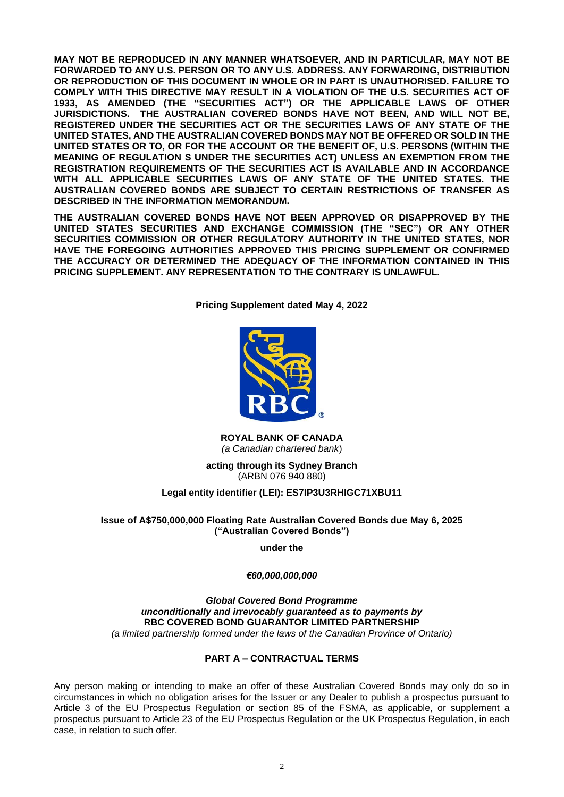**MAY NOT BE REPRODUCED IN ANY MANNER WHATSOEVER, AND IN PARTICULAR, MAY NOT BE FORWARDED TO ANY U.S. PERSON OR TO ANY U.S. ADDRESS. ANY FORWARDING, DISTRIBUTION OR REPRODUCTION OF THIS DOCUMENT IN WHOLE OR IN PART IS UNAUTHORISED. FAILURE TO COMPLY WITH THIS DIRECTIVE MAY RESULT IN A VIOLATION OF THE U.S. SECURITIES ACT OF 1933, AS AMENDED (THE "SECURITIES ACT") OR THE APPLICABLE LAWS OF OTHER JURISDICTIONS. THE AUSTRALIAN COVERED BONDS HAVE NOT BEEN, AND WILL NOT BE, REGISTERED UNDER THE SECURITIES ACT OR THE SECURITIES LAWS OF ANY STATE OF THE UNITED STATES, AND THE AUSTRALIAN COVERED BONDS MAY NOT BE OFFERED OR SOLD IN THE UNITED STATES OR TO, OR FOR THE ACCOUNT OR THE BENEFIT OF, U.S. PERSONS (WITHIN THE MEANING OF REGULATION S UNDER THE SECURITIES ACT) UNLESS AN EXEMPTION FROM THE REGISTRATION REQUIREMENTS OF THE SECURITIES ACT IS AVAILABLE AND IN ACCORDANCE WITH ALL APPLICABLE SECURITIES LAWS OF ANY STATE OF THE UNITED STATES. THE AUSTRALIAN COVERED BONDS ARE SUBJECT TO CERTAIN RESTRICTIONS OF TRANSFER AS DESCRIBED IN THE INFORMATION MEMORANDUM.**

**THE AUSTRALIAN COVERED BONDS HAVE NOT BEEN APPROVED OR DISAPPROVED BY THE UNITED STATES SECURITIES AND EXCHANGE COMMISSION (THE "SEC") OR ANY OTHER SECURITIES COMMISSION OR OTHER REGULATORY AUTHORITY IN THE UNITED STATES, NOR HAVE THE FOREGOING AUTHORITIES APPROVED THIS PRICING SUPPLEMENT OR CONFIRMED THE ACCURACY OR DETERMINED THE ADEQUACY OF THE INFORMATION CONTAINED IN THIS PRICING SUPPLEMENT. ANY REPRESENTATION TO THE CONTRARY IS UNLAWFUL.**

**Pricing Supplement dated May 4, 2022**



**ROYAL BANK OF CANADA** *(a Canadian chartered bank*)

**acting through its Sydney Branch** (ARBN 076 940 880)

#### **Legal entity identifier (LEI): ES7IP3U3RHIGC71XBU11**

#### **Issue of A\$750,000,000 Floating Rate Australian Covered Bonds due May 6, 2025 ("Australian Covered Bonds")**

**under the**

#### *€60,000,000,000*

*Global Covered Bond Programme unconditionally and irrevocably guaranteed as to payments by* **RBC COVERED BOND GUARANTOR LIMITED PARTNERSHIP** *(a limited partnership formed under the laws of the Canadian Province of Ontario)*

## **PART A – CONTRACTUAL TERMS**

Any person making or intending to make an offer of these Australian Covered Bonds may only do so in circumstances in which no obligation arises for the Issuer or any Dealer to publish a prospectus pursuant to Article 3 of the EU Prospectus Regulation or section 85 of the FSMA, as applicable, or supplement a prospectus pursuant to Article 23 of the EU Prospectus Regulation or the UK Prospectus Regulation, in each case, in relation to such offer.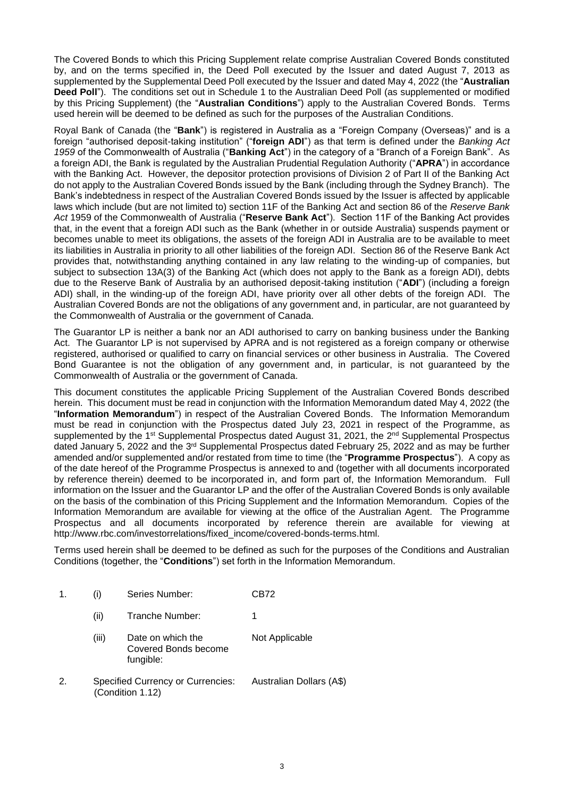The Covered Bonds to which this Pricing Supplement relate comprise Australian Covered Bonds constituted by, and on the terms specified in, the Deed Poll executed by the Issuer and dated August 7, 2013 as supplemented by the Supplemental Deed Poll executed by the Issuer and dated May 4, 2022 (the "**Australian Deed Poll**"). The conditions set out in Schedule 1 to the Australian Deed Poll (as supplemented or modified by this Pricing Supplement) (the "**Australian Conditions**") apply to the Australian Covered Bonds. Terms used herein will be deemed to be defined as such for the purposes of the Australian Conditions.

Royal Bank of Canada (the "**Bank**") is registered in Australia as a "Foreign Company (Overseas)" and is a foreign "authorised deposit-taking institution" ("**foreign ADI**") as that term is defined under the *Banking Act 1959* of the Commonwealth of Australia ("**Banking Act**") in the category of a "Branch of a Foreign Bank". As a foreign ADI, the Bank is regulated by the Australian Prudential Regulation Authority ("**APRA**") in accordance with the Banking Act. However, the depositor protection provisions of Division 2 of Part II of the Banking Act do not apply to the Australian Covered Bonds issued by the Bank (including through the Sydney Branch). The Bank's indebtedness in respect of the Australian Covered Bonds issued by the Issuer is affected by applicable laws which include (but are not limited to) section 11F of the Banking Act and section 86 of the *Reserve Bank Act* 1959 of the Commonwealth of Australia ("**Reserve Bank Act**"). Section 11F of the Banking Act provides that, in the event that a foreign ADI such as the Bank (whether in or outside Australia) suspends payment or becomes unable to meet its obligations, the assets of the foreign ADI in Australia are to be available to meet its liabilities in Australia in priority to all other liabilities of the foreign ADI. Section 86 of the Reserve Bank Act provides that, notwithstanding anything contained in any law relating to the winding-up of companies, but subject to subsection 13A(3) of the Banking Act (which does not apply to the Bank as a foreign ADI), debts due to the Reserve Bank of Australia by an authorised deposit-taking institution ("**ADI**") (including a foreign ADI) shall, in the winding-up of the foreign ADI, have priority over all other debts of the foreign ADI. The Australian Covered Bonds are not the obligations of any government and, in particular, are not guaranteed by the Commonwealth of Australia or the government of Canada.

The Guarantor LP is neither a bank nor an ADI authorised to carry on banking business under the Banking Act. The Guarantor LP is not supervised by APRA and is not registered as a foreign company or otherwise registered, authorised or qualified to carry on financial services or other business in Australia. The Covered Bond Guarantee is not the obligation of any government and, in particular, is not guaranteed by the Commonwealth of Australia or the government of Canada.

This document constitutes the applicable Pricing Supplement of the Australian Covered Bonds described herein. This document must be read in conjunction with the Information Memorandum dated May 4, 2022 (the "**Information Memorandum**") in respect of the Australian Covered Bonds. The Information Memorandum must be read in conjunction with the Prospectus dated July 23, 2021 in respect of the Programme, as supplemented by the 1<sup>st</sup> Supplemental Prospectus dated August 31, 2021, the 2<sup>nd</sup> Supplemental Prospectus dated January 5, 2022 and the 3<sup>rd</sup> Supplemental Prospectus dated February 25, 2022 and as may be further amended and/or supplemented and/or restated from time to time (the "**Programme Prospectus**"). A copy as of the date hereof of the Programme Prospectus is annexed to and (together with all documents incorporated by reference therein) deemed to be incorporated in, and form part of, the Information Memorandum. Full information on the Issuer and the Guarantor LP and the offer of the Australian Covered Bonds is only available on the basis of the combination of this Pricing Supplement and the Information Memorandum. Copies of the Information Memorandum are available for viewing at the office of the Australian Agent. The Programme Prospectus and all documents incorporated by reference therein are available for viewing at http://www.rbc.com/investorrelations/fixed\_income/covered-bonds-terms.html.

Terms used herein shall be deemed to be defined as such for the purposes of the Conditions and Australian Conditions (together, the "**Conditions**") set forth in the Information Memorandum.

| 1. | (i)   | Series Number:                                               | CB72                     |
|----|-------|--------------------------------------------------------------|--------------------------|
|    | (ii)  | Tranche Number:                                              | 1                        |
|    | (iii) | Date on which the<br>Covered Bonds become<br>fungible:       | Not Applicable           |
| 2. |       | <b>Specified Currency or Currencies:</b><br>(Condition 1.12) | Australian Dollars (A\$) |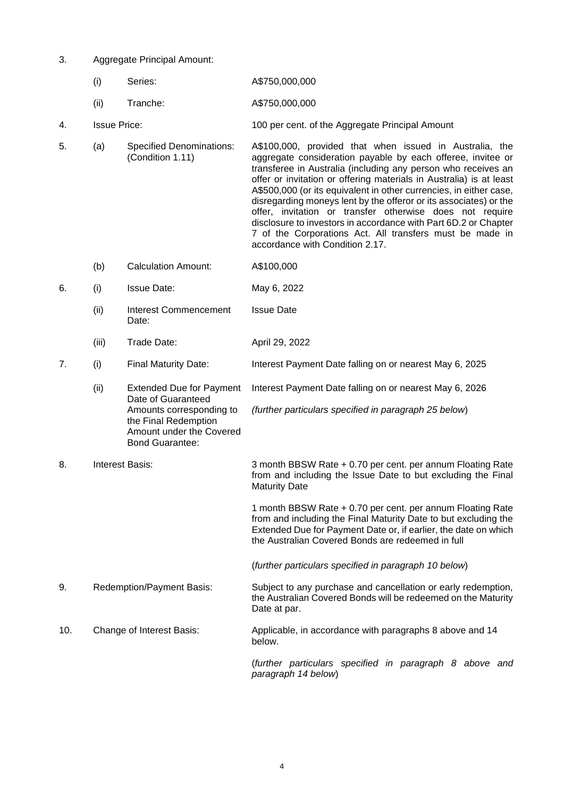- 3. Aggregate Principal Amount:
	- (i) Series: A\$750,000,000
	- (ii) Tranche: A\$750,000,000
- 4. Issue Price: 100 per cent. of the Aggregate Principal Amount
- 5. (a) Specified Denominations: (Condition 1.11) A\$100,000, provided that when issued in Australia, the aggregate consideration payable by each offeree, invitee or transferee in Australia (including any person who receives an offer or invitation or offering materials in Australia) is at least A\$500,000 (or its equivalent in other currencies, in either case, disregarding moneys lent by the offeror or its associates) or the offer, invitation or transfer otherwise does not require disclosure to investors in accordance with Part 6D.2 or Chapter 7 of the Corporations Act. All transfers must be made in accordance with Condition 2.17.
	- (b) Calculation Amount: A\$100,000
- 6. (i) Issue Date: May 6, 2022

Bond Guarantee:

- (ii) Interest Commencement Date: Issue Date
- (iii) Trade Date: April 29, 2022
- 7. (i) Final Maturity Date: Interest Payment Date falling on or nearest May 6, 2025
	- (ii) Extended Due for Payment Date of Guaranteed Amounts corresponding to the Final Redemption Amount under the Covered Interest Payment Date falling on or nearest May 6, 2026 *(further particulars specified in paragraph 25 below*)
- 8. Interest Basis: 3 month BBSW Rate + 0.70 per cent. per annum Floating Rate from and including the Issue Date to but excluding the Final Maturity Date 1 month BBSW Rate + 0.70 per cent. per annum Floating Rate from and including the Final Maturity Date to but excluding the Extended Due for Payment Date or, if earlier, the date on which the Australian Covered Bonds are redeemed in full
	- (*further particulars specified in paragraph 10 below*)
- 9. Redemption/Payment Basis: Subject to any purchase and cancellation or early redemption, the Australian Covered Bonds will be redeemed on the Maturity Date at par.
- 10. Change of Interest Basis: Applicable, in accordance with paragraphs 8 above and 14 below.

(*further particulars specified in paragraph 8 above and paragraph 14 below*)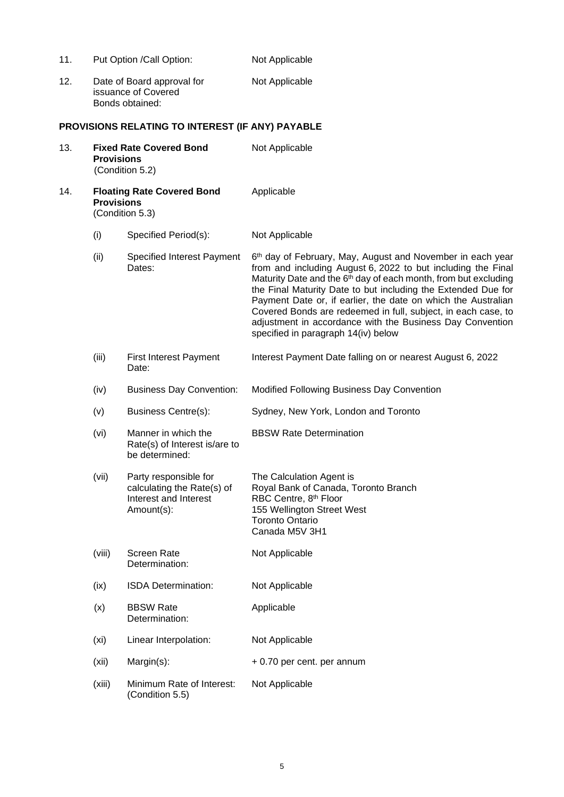| 11. |                   | Put Option /Call Option:                                                                   | Not Applicable                                                                                                                                                                                                                                                                                                                                                                                                                                                                                                   |
|-----|-------------------|--------------------------------------------------------------------------------------------|------------------------------------------------------------------------------------------------------------------------------------------------------------------------------------------------------------------------------------------------------------------------------------------------------------------------------------------------------------------------------------------------------------------------------------------------------------------------------------------------------------------|
| 12. |                   | Date of Board approval for<br>issuance of Covered<br>Bonds obtained:                       | Not Applicable                                                                                                                                                                                                                                                                                                                                                                                                                                                                                                   |
|     |                   | PROVISIONS RELATING TO INTEREST (IF ANY) PAYABLE                                           |                                                                                                                                                                                                                                                                                                                                                                                                                                                                                                                  |
| 13. | <b>Provisions</b> | <b>Fixed Rate Covered Bond</b><br>(Condition 5.2)                                          | Not Applicable                                                                                                                                                                                                                                                                                                                                                                                                                                                                                                   |
| 14. | <b>Provisions</b> | <b>Floating Rate Covered Bond</b><br>(Condition 5.3)                                       | Applicable                                                                                                                                                                                                                                                                                                                                                                                                                                                                                                       |
|     | (i)               | Specified Period(s):                                                                       | Not Applicable                                                                                                                                                                                                                                                                                                                                                                                                                                                                                                   |
|     | (ii)              | Specified Interest Payment<br>Dates:                                                       | 6th day of February, May, August and November in each year<br>from and including August 6, 2022 to but including the Final<br>Maturity Date and the 6 <sup>th</sup> day of each month, from but excluding<br>the Final Maturity Date to but including the Extended Due for<br>Payment Date or, if earlier, the date on which the Australian<br>Covered Bonds are redeemed in full, subject, in each case, to<br>adjustment in accordance with the Business Day Convention<br>specified in paragraph 14(iv) below |
|     | (iii)             | <b>First Interest Payment</b><br>Date:                                                     | Interest Payment Date falling on or nearest August 6, 2022                                                                                                                                                                                                                                                                                                                                                                                                                                                       |
|     | (iv)              | <b>Business Day Convention:</b>                                                            | Modified Following Business Day Convention                                                                                                                                                                                                                                                                                                                                                                                                                                                                       |
|     | (v)               | <b>Business Centre(s):</b>                                                                 | Sydney, New York, London and Toronto                                                                                                                                                                                                                                                                                                                                                                                                                                                                             |
|     | (vi)              | Manner in which the<br>Rate(s) of Interest is/are to<br>be determined:                     | <b>BBSW Rate Determination</b>                                                                                                                                                                                                                                                                                                                                                                                                                                                                                   |
|     | (vii)             | Party responsible for<br>calculating the Rate(s) of<br>Interest and Interest<br>Amount(s): | The Calculation Agent is<br>Royal Bank of Canada, Toronto Branch<br>RBC Centre, 8th Floor<br>155 Wellington Street West<br><b>Toronto Ontario</b><br>Canada M5V 3H1                                                                                                                                                                                                                                                                                                                                              |
|     | (viii)            | <b>Screen Rate</b><br>Determination:                                                       | Not Applicable                                                                                                                                                                                                                                                                                                                                                                                                                                                                                                   |
|     | (ix)              | ISDA Determination:                                                                        | Not Applicable                                                                                                                                                                                                                                                                                                                                                                                                                                                                                                   |
|     | (x)               | <b>BBSW Rate</b><br>Determination:                                                         | Applicable                                                                                                                                                                                                                                                                                                                                                                                                                                                                                                       |
|     | (xi)              | Linear Interpolation:                                                                      | Not Applicable                                                                                                                                                                                                                                                                                                                                                                                                                                                                                                   |
|     | (xii)             | Margin(s):                                                                                 | + 0.70 per cent. per annum                                                                                                                                                                                                                                                                                                                                                                                                                                                                                       |
|     | (xiii)            | Minimum Rate of Interest:<br>(Condition 5.5)                                               | Not Applicable                                                                                                                                                                                                                                                                                                                                                                                                                                                                                                   |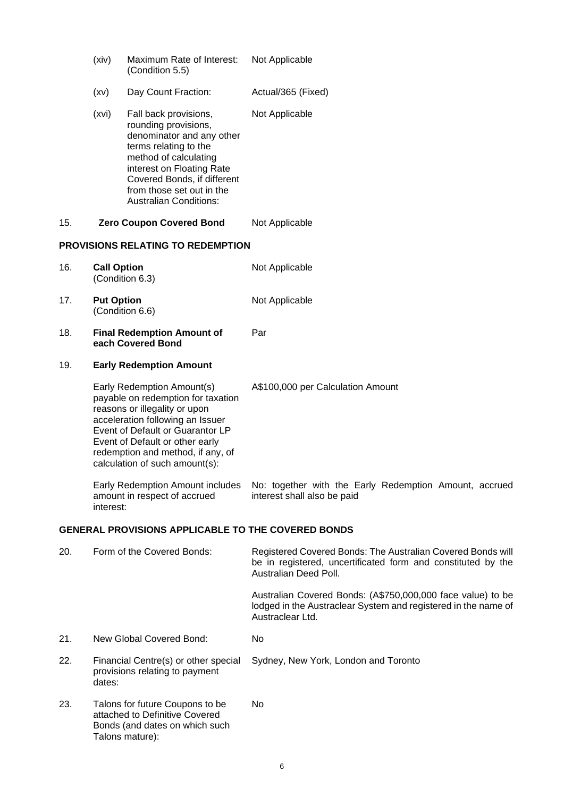|     | (xiv)              | Maximum Rate of Interest:<br>(Condition 5.5)                                                                                                                                                                                                                                        | Not Applicable                                                                                                                                       |
|-----|--------------------|-------------------------------------------------------------------------------------------------------------------------------------------------------------------------------------------------------------------------------------------------------------------------------------|------------------------------------------------------------------------------------------------------------------------------------------------------|
|     | (xv)               | Day Count Fraction:                                                                                                                                                                                                                                                                 | Actual/365 (Fixed)                                                                                                                                   |
|     | (xvi)              | Fall back provisions,<br>rounding provisions,<br>denominator and any other<br>terms relating to the<br>method of calculating<br>interest on Floating Rate<br>Covered Bonds, if different<br>from those set out in the<br><b>Australian Conditions:</b>                              | Not Applicable                                                                                                                                       |
| 15. |                    | <b>Zero Coupon Covered Bond</b>                                                                                                                                                                                                                                                     | Not Applicable                                                                                                                                       |
|     |                    | <b>PROVISIONS RELATING TO REDEMPTION</b>                                                                                                                                                                                                                                            |                                                                                                                                                      |
| 16. | <b>Call Option</b> | (Condition 6.3)                                                                                                                                                                                                                                                                     | Not Applicable                                                                                                                                       |
| 17. | <b>Put Option</b>  | (Condition 6.6)                                                                                                                                                                                                                                                                     | Not Applicable                                                                                                                                       |
| 18. |                    | <b>Final Redemption Amount of</b><br>each Covered Bond                                                                                                                                                                                                                              | Par                                                                                                                                                  |
| 19. |                    | <b>Early Redemption Amount</b>                                                                                                                                                                                                                                                      |                                                                                                                                                      |
|     |                    | Early Redemption Amount(s)<br>payable on redemption for taxation<br>reasons or illegality or upon<br>acceleration following an Issuer<br>Event of Default or Guarantor LP<br>Event of Default or other early<br>redemption and method, if any, of<br>calculation of such amount(s): | A\$100,000 per Calculation Amount                                                                                                                    |
|     | interest:          | Early Redemption Amount includes<br>amount in respect of accrued                                                                                                                                                                                                                    | No: together with the Early Redemption Amount, accrued<br>interest shall also be paid                                                                |
|     |                    | <b>GENERAL PROVISIONS APPLICABLE TO THE COVERED BONDS</b>                                                                                                                                                                                                                           |                                                                                                                                                      |
| 20. |                    | Form of the Covered Bonds:                                                                                                                                                                                                                                                          | Registered Covered Bonds: The Australian Covered Bonds will<br>be in registered, uncertificated form and constituted by the<br>Australian Deed Poll. |
|     |                    |                                                                                                                                                                                                                                                                                     | Australian Covered Bonds: (A\$750,000,000 face value) to be<br>lodged in the Austraclear System and registered in the name of<br>Austraclear Ltd.    |
| 21. |                    | New Global Covered Bond:                                                                                                                                                                                                                                                            | No                                                                                                                                                   |
| 22. | dates:             | Financial Centre(s) or other special<br>provisions relating to payment                                                                                                                                                                                                              | Sydney, New York, London and Toronto                                                                                                                 |
| 23. |                    | Talons for future Coupons to be<br>attached to Definitive Covered<br>Bonds (and dates on which such<br>Talons mature):                                                                                                                                                              | No                                                                                                                                                   |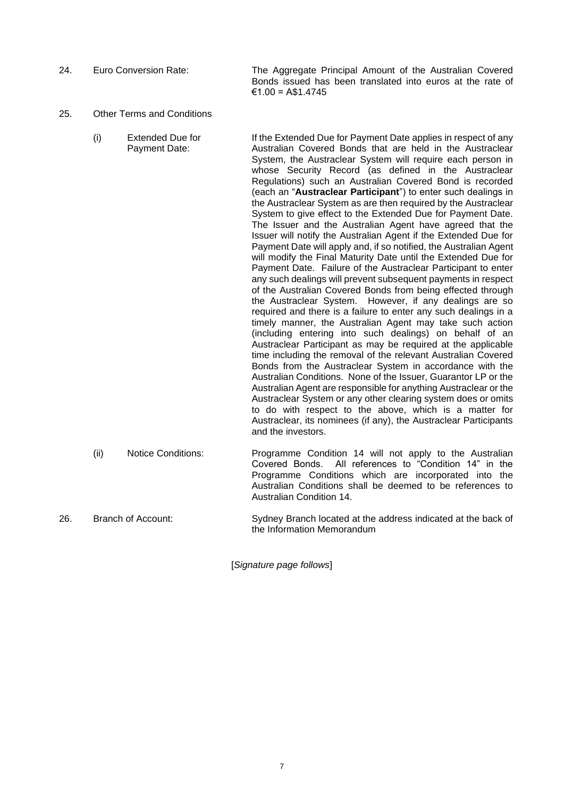- 24. Euro Conversion Rate: The Aggregate Principal Amount of the Australian Covered Bonds issued has been translated into euros at the rate of €1.00 = A\$1.4745
- 25. Other Terms and Conditions
	- (i) Extended Due for Payment Date: If the Extended Due for Payment Date applies in respect of any Australian Covered Bonds that are held in the Austraclear System, the Austraclear System will require each person in whose Security Record (as defined in the Austraclear Regulations) such an Australian Covered Bond is recorded (each an "**Austraclear Participant**") to enter such dealings in the Austraclear System as are then required by the Austraclear System to give effect to the Extended Due for Payment Date. The Issuer and the Australian Agent have agreed that the Issuer will notify the Australian Agent if the Extended Due for Payment Date will apply and, if so notified, the Australian Agent will modify the Final Maturity Date until the Extended Due for Payment Date. Failure of the Austraclear Participant to enter any such dealings will prevent subsequent payments in respect of the Australian Covered Bonds from being effected through the Austraclear System. However, if any dealings are so required and there is a failure to enter any such dealings in a timely manner, the Australian Agent may take such action (including entering into such dealings) on behalf of an Austraclear Participant as may be required at the applicable time including the removal of the relevant Australian Covered Bonds from the Austraclear System in accordance with the Australian Conditions. None of the Issuer, Guarantor LP or the Australian Agent are responsible for anything Austraclear or the Austraclear System or any other clearing system does or omits to do with respect to the above, which is a matter for Austraclear, its nominees (if any), the Austraclear Participants and the investors. (ii) Notice Conditions: Programme Condition 14 will not apply to the Australian
	- Covered Bonds. All references to "Condition 14" in the Programme Conditions which are incorporated into the Australian Conditions shall be deemed to be references to Australian Condition 14.
- 26. Branch of Account: Sydney Branch located at the address indicated at the back of the Information Memorandum

[*Signature page follows*]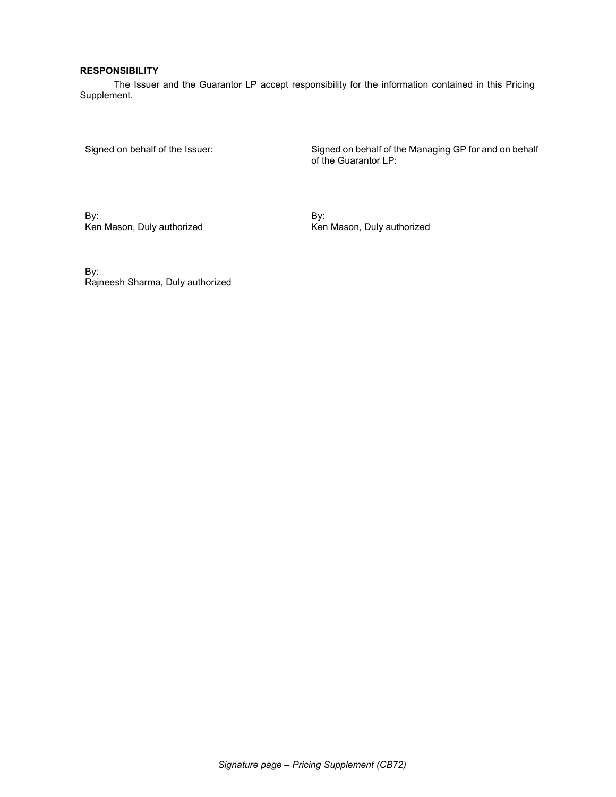#### RESPONSIBILITY

The Issuer and the Guarantor LP accept responsibility for the information contained in this Pricing Supplement.

Signed on behalf of the Issuer: Signed on behalf of the Managing GP for and on behalf of the Guarantor LP:

By: By:

Ken Mason, Duly authorized

By:  $\overline{\phantom{0}}$ Rajneesh Sharma, Duly authorized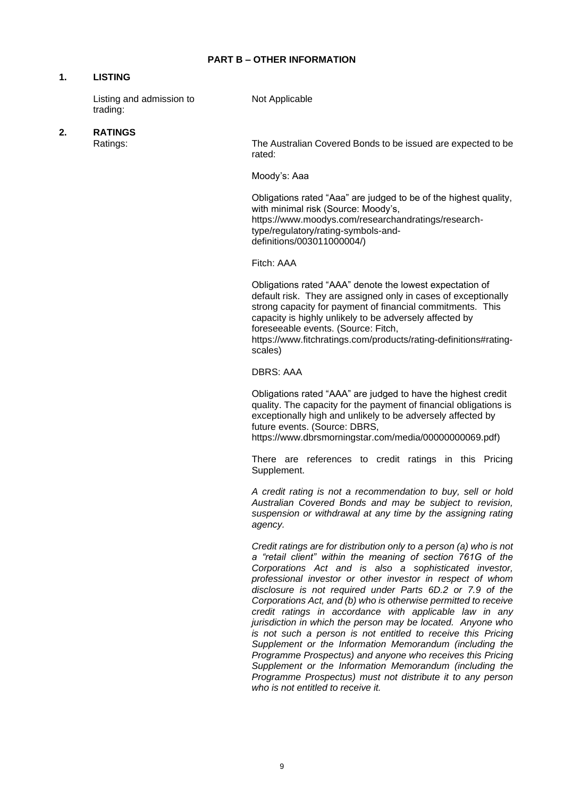## **1. LISTING**

Listing and admission to trading:

Not Applicable

# **2. RATINGS**

The Australian Covered Bonds to be issued are expected to be rated:

Moody's: Aaa

Obligations rated "Aaa" are judged to be of the highest quality, with minimal risk (Source: Moody's, https://www.moodys.com/researchandratings/researchtype/regulatory/rating-symbols-anddefinitions/003011000004/)

Fitch: AAA

Obligations rated "AAA" denote the lowest expectation of default risk. They are assigned only in cases of exceptionally strong capacity for payment of financial commitments. This capacity is highly unlikely to be adversely affected by foreseeable events. (Source: Fitch,

https://www.fitchratings.com/products/rating-definitions#ratingscales)

DBRS: AAA

Obligations rated "AAA" are judged to have the highest credit quality. The capacity for the payment of financial obligations is exceptionally high and unlikely to be adversely affected by future events. (Source: DBRS, https://www.dbrsmorningstar.com/media/00000000069.pdf)

There are references to credit ratings in this Pricing Supplement.

*A credit rating is not a recommendation to buy, sell or hold Australian Covered Bonds and may be subject to revision, suspension or withdrawal at any time by the assigning rating agency.*

*Credit ratings are for distribution only to a person (a) who is not a "retail client" within the meaning of section 761G of the Corporations Act and is also a sophisticated investor, professional investor or other investor in respect of whom disclosure is not required under Parts 6D.2 or 7.9 of the Corporations Act, and (b) who is otherwise permitted to receive credit ratings in accordance with applicable law in any jurisdiction in which the person may be located. Anyone who is not such a person is not entitled to receive this Pricing Supplement or the Information Memorandum (including the Programme Prospectus) and anyone who receives this Pricing Supplement or the Information Memorandum (including the Programme Prospectus) must not distribute it to any person who is not entitled to receive it.*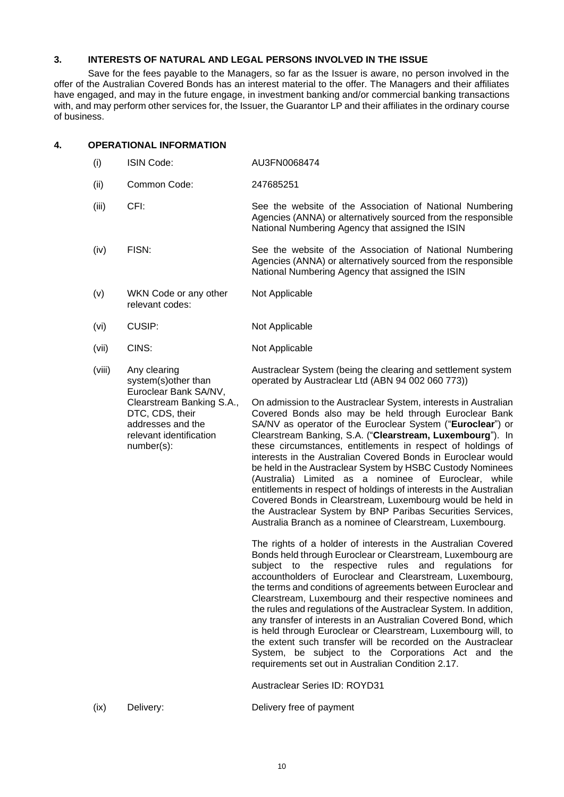## **3. INTERESTS OF NATURAL AND LEGAL PERSONS INVOLVED IN THE ISSUE**

Save for the fees payable to the Managers, so far as the Issuer is aware, no person involved in the offer of the Australian Covered Bonds has an interest material to the offer. The Managers and their affiliates have engaged, and may in the future engage, in investment banking and/or commercial banking transactions with, and may perform other services for, the Issuer, the Guarantor LP and their affiliates in the ordinary course of business.

#### **4. OPERATIONAL INFORMATION**

- (i) ISIN Code: AU3FN0068474 (ii) Common Code: 247685251 (iii) CFI: See the website of the Association of National Numbering Agencies (ANNA) or alternatively sourced from the responsible National Numbering Agency that assigned the ISIN (iv) FISN: See the website of the Association of National Numbering Agencies (ANNA) or alternatively sourced from the responsible National Numbering Agency that assigned the ISIN (v) WKN Code or any other relevant codes: Not Applicable (vi) CUSIP: Not Applicable (vii) CINS: Not Applicable (viii) Any clearing system(s)other than Euroclear Bank SA/NV, Clearstream Banking S.A., DTC, CDS, their addresses and the relevant identification number(s): Austraclear System (being the clearing and settlement system operated by Austraclear Ltd (ABN 94 002 060 773)) On admission to the Austraclear System, interests in Australian Covered Bonds also may be held through Euroclear Bank SA/NV as operator of the Euroclear System ("**Euroclear**") or Clearstream Banking, S.A. ("**Clearstream, Luxembourg**"). In these circumstances, entitlements in respect of holdings of interests in the Australian Covered Bonds in Euroclear would be held in the Austraclear System by HSBC Custody Nominees (Australia) Limited as a nominee of Euroclear, while entitlements in respect of holdings of interests in the Australian Covered Bonds in Clearstream, Luxembourg would be held in the Austraclear System by BNP Paribas Securities Services, Australia Branch as a nominee of Clearstream, Luxembourg. The rights of a holder of interests in the Australian Covered Bonds held through Euroclear or Clearstream, Luxembourg are subject to the respective rules and regulations for accountholders of Euroclear and Clearstream, Luxembourg, the terms and conditions of agreements between Euroclear and Clearstream, Luxembourg and their respective nominees and the rules and regulations of the Austraclear System. In addition, any transfer of interests in an Australian Covered Bond, which is held through Euroclear or Clearstream, Luxembourg will, to the extent such transfer will be recorded on the Austraclear System, be subject to the Corporations Act and the requirements set out in Australian Condition 2.17. Austraclear Series ID: ROYD31
- (ix) Delivery: Delivery free of payment